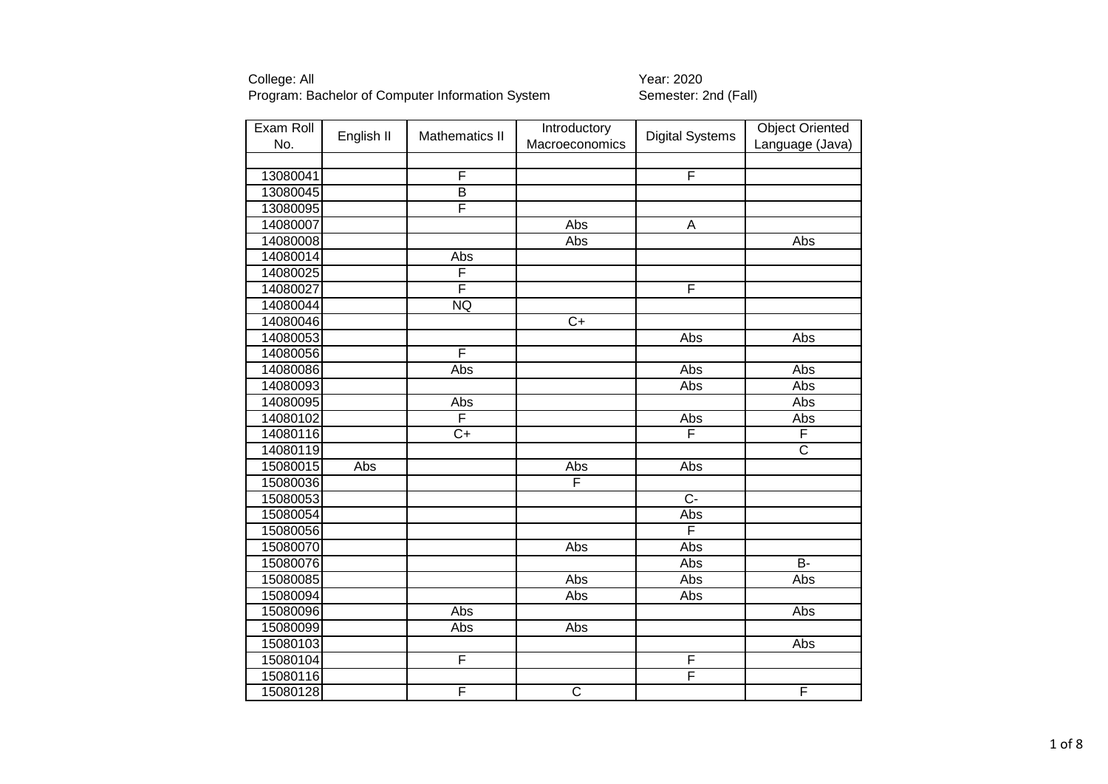| Exam Roll | English II | <b>Mathematics II</b>   | Introductory          | <b>Digital Systems</b> | <b>Object Oriented</b> |
|-----------|------------|-------------------------|-----------------------|------------------------|------------------------|
| No.       |            |                         | Macroeconomics        |                        | Language (Java)        |
|           |            | F                       |                       | F                      |                        |
| 13080041  |            | $\overline{\mathsf{B}}$ |                       |                        |                        |
| 13080045  |            | F                       |                       |                        |                        |
| 13080095  |            |                         |                       |                        |                        |
| 14080007  |            |                         | Abs                   | A                      |                        |
| 14080008  |            |                         | <b>Abs</b>            |                        | Abs                    |
| 14080014  |            | Abs                     |                       |                        |                        |
| 14080025  |            | F                       |                       |                        |                        |
| 14080027  |            | F                       |                       | F                      |                        |
| 14080044  |            | <b>NQ</b>               |                       |                        |                        |
| 14080046  |            |                         | $\overline{C+}$       |                        |                        |
| 14080053  |            |                         |                       | Abs                    | Abs                    |
| 14080056  |            | F                       |                       |                        |                        |
| 14080086  |            | Abs                     |                       | Abs                    | Abs                    |
| 14080093  |            |                         |                       | Abs                    | Abs                    |
| 14080095  |            | Abs                     |                       |                        | Abs                    |
| 14080102  |            | F                       |                       | Abs                    | Abs                    |
| 14080116  |            | $\overline{C+}$         |                       | F                      | F                      |
| 14080119  |            |                         |                       |                        | $\overline{\text{c}}$  |
| 15080015  | Abs        |                         | Abs                   | Abs                    |                        |
| 15080036  |            |                         | F                     |                        |                        |
| 15080053  |            |                         |                       | $\overline{C}$         |                        |
| 15080054  |            |                         |                       | Abs                    |                        |
| 15080056  |            |                         |                       | F                      |                        |
| 15080070  |            |                         | Abs                   | Abs                    |                        |
| 15080076  |            |                         |                       | Abs                    | $\overline{B}$         |
| 15080085  |            |                         | Abs                   | Abs                    | Abs                    |
| 15080094  |            |                         | Abs                   | Abs                    |                        |
| 15080096  |            | Abs                     |                       |                        | Abs                    |
| 15080099  |            | Abs                     | Abs                   |                        |                        |
| 15080103  |            |                         |                       |                        | Abs                    |
| 15080104  |            | F                       |                       | F                      |                        |
| 15080116  |            |                         |                       | F                      |                        |
| 15080128  |            | F                       | $\overline{\text{c}}$ |                        | $\overline{F}$         |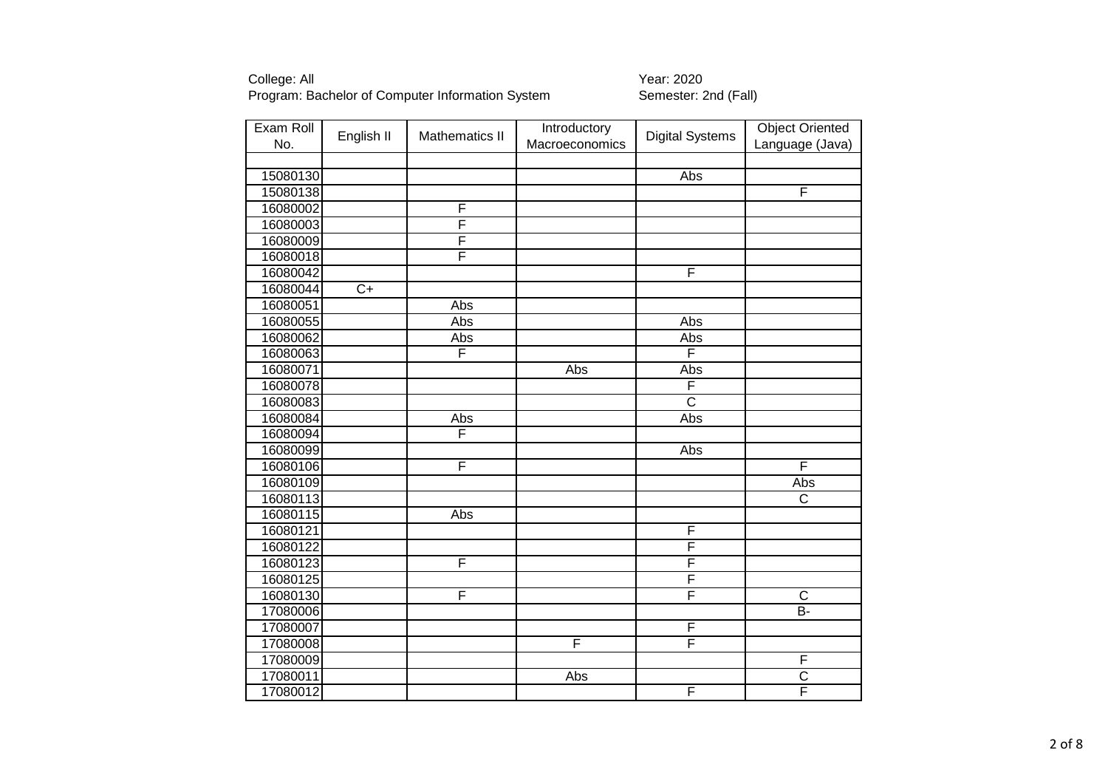| Exam Roll<br>No. | English II      | <b>Mathematics II</b> | Introductory<br>Macroeconomics | <b>Digital Systems</b> | <b>Object Oriented</b><br>Language (Java) |
|------------------|-----------------|-----------------------|--------------------------------|------------------------|-------------------------------------------|
|                  |                 |                       |                                |                        |                                           |
| 15080130         |                 |                       |                                | Abs                    |                                           |
| 15080138         |                 |                       |                                |                        | F                                         |
| 16080002         |                 | F                     |                                |                        |                                           |
| 16080003         |                 | F                     |                                |                        |                                           |
| 16080009         |                 | F                     |                                |                        |                                           |
| 16080018         |                 | F                     |                                |                        |                                           |
| 16080042         |                 |                       |                                | F                      |                                           |
| 16080044         | $\overline{C+}$ |                       |                                |                        |                                           |
| 16080051         |                 | Abs                   |                                |                        |                                           |
| 16080055         |                 | Abs                   |                                | Abs                    |                                           |
| 16080062         |                 | Abs                   |                                | <b>Abs</b>             |                                           |
| 16080063         |                 | F                     |                                | F                      |                                           |
| 16080071         |                 |                       | Abs                            | Abs                    |                                           |
| 16080078         |                 |                       |                                | F                      |                                           |
| 16080083         |                 |                       |                                | $\overline{\text{c}}$  |                                           |
| 16080084         |                 | Abs                   |                                | Abs                    |                                           |
| 16080094         |                 | F                     |                                |                        |                                           |
| 16080099         |                 |                       |                                | Abs                    |                                           |
| 16080106         |                 | F                     |                                |                        | F                                         |
| 16080109         |                 |                       |                                |                        | Abs                                       |
| 16080113         |                 |                       |                                |                        | $\overline{\text{c}}$                     |
| 16080115         |                 | Abs                   |                                |                        |                                           |
| 16080121         |                 |                       |                                | F                      |                                           |
| 16080122         |                 |                       |                                | F                      |                                           |
| 16080123         |                 | F                     |                                | F                      |                                           |
| 16080125         |                 |                       |                                | F                      |                                           |
| 16080130         |                 | F                     |                                | F                      | $\overline{\text{c}}$                     |
| 17080006         |                 |                       |                                |                        | $\overline{B}$                            |
| 17080007         |                 |                       |                                | F                      |                                           |
| 17080008         |                 |                       | F                              | F                      |                                           |
| 17080009         |                 |                       |                                |                        | F                                         |
| 17080011         |                 |                       | Abs                            |                        | $\overline{\text{c}}$                     |
| 17080012         |                 |                       |                                | F                      | $\overline{\mathsf{F}}$                   |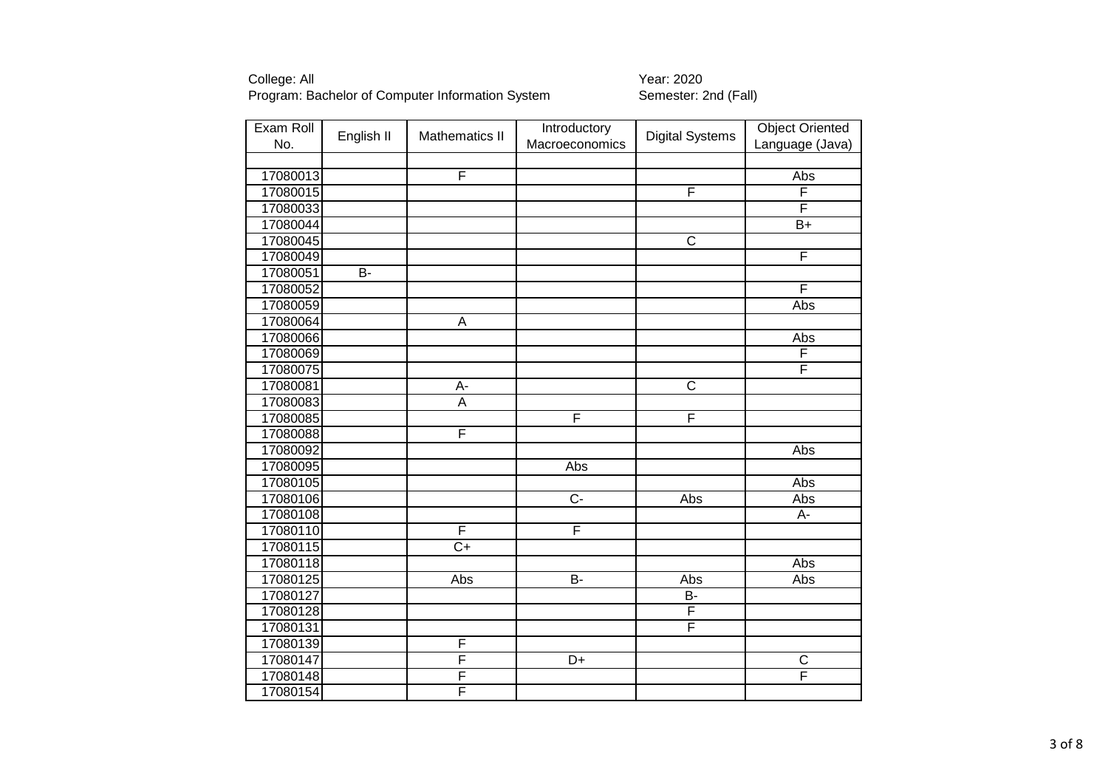| Exam Roll | English II     | Mathematics II  | Introductory   | <b>Digital Systems</b>  | <b>Object Oriented</b> |
|-----------|----------------|-----------------|----------------|-------------------------|------------------------|
| No.       |                |                 | Macroeconomics |                         | Language (Java)        |
| 17080013  |                | F               |                |                         | Abs                    |
| 17080015  |                |                 |                | F                       | F                      |
| 17080033  |                |                 |                |                         | F                      |
| 17080044  |                |                 |                |                         | $\overline{B+}$        |
| 17080045  |                |                 |                | $\overline{\mathsf{C}}$ |                        |
| 17080049  |                |                 |                |                         | F                      |
| 17080051  | $\overline{B}$ |                 |                |                         |                        |
| 17080052  |                |                 |                |                         | F                      |
| 17080059  |                |                 |                |                         | Abs                    |
| 17080064  |                | Α               |                |                         |                        |
| 17080066  |                |                 |                |                         | Abs                    |
| 17080069  |                |                 |                |                         | F                      |
| 17080075  |                |                 |                |                         | F                      |
| 17080081  |                | А-              |                | $\overline{\text{c}}$   |                        |
| 17080083  |                | A               |                |                         |                        |
| 17080085  |                |                 | F              | F                       |                        |
| 17080088  |                | F               |                |                         |                        |
| 17080092  |                |                 |                |                         | Abs                    |
| 17080095  |                |                 | Abs            |                         |                        |
| 17080105  |                |                 |                |                         | Abs                    |
| 17080106  |                |                 | $\overline{C}$ | Abs                     | Abs                    |
| 17080108  |                |                 |                |                         | A-                     |
| 17080110  |                | F               | F              |                         |                        |
| 17080115  |                | $\overline{C+}$ |                |                         |                        |
| 17080118  |                |                 |                |                         | Abs                    |
| 17080125  |                | Abs             | $\overline{B}$ | <b>Abs</b>              | Abs                    |
| 17080127  |                |                 |                | B-                      |                        |
| 17080128  |                |                 |                | F                       |                        |
| 17080131  |                |                 |                | F                       |                        |
| 17080139  |                | F               |                |                         |                        |
| 17080147  |                | F               | D+             |                         | $\mathsf C$            |
| 17080148  |                | F               |                |                         | F                      |
| 17080154  |                | F               |                |                         |                        |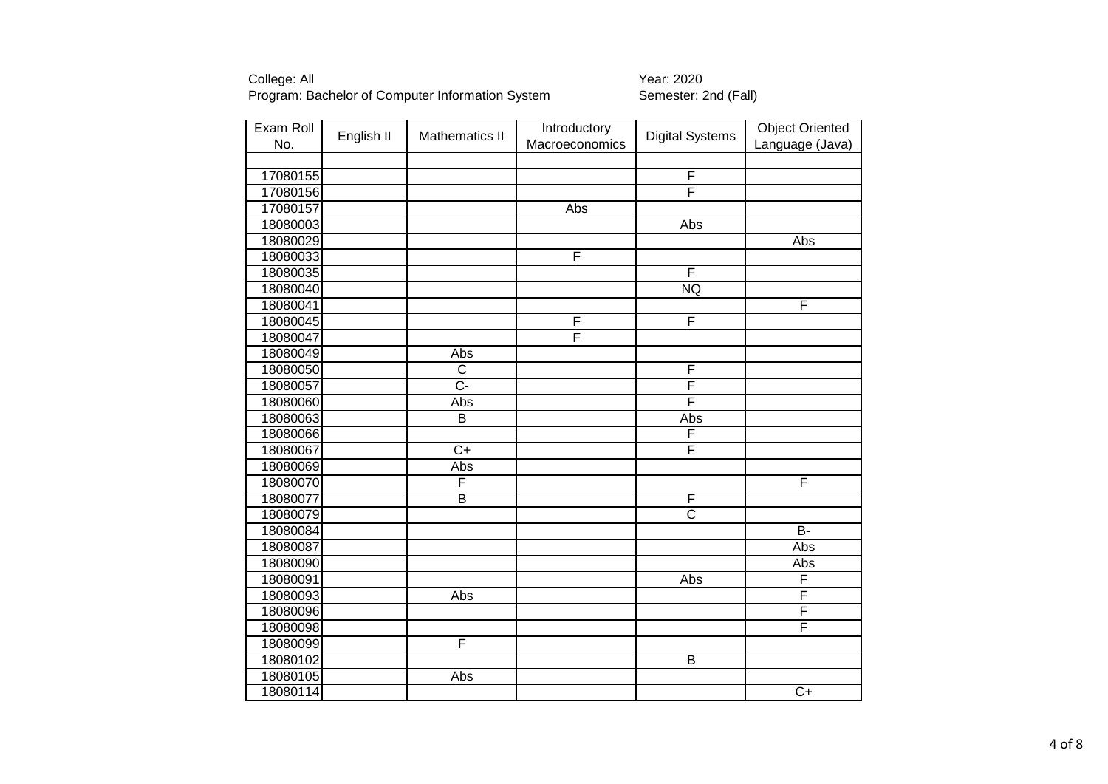| Exam Roll<br>No. | English II | Mathematics II          | Introductory<br>Macroeconomics | <b>Digital Systems</b>  | <b>Object Oriented</b><br>Language (Java) |
|------------------|------------|-------------------------|--------------------------------|-------------------------|-------------------------------------------|
|                  |            |                         |                                |                         |                                           |
| 17080155         |            |                         |                                | F                       |                                           |
| 17080156         |            |                         |                                | F                       |                                           |
| 17080157         |            |                         | Abs                            |                         |                                           |
| 18080003         |            |                         |                                | Abs                     |                                           |
| 18080029         |            |                         |                                |                         | Abs                                       |
| 18080033         |            |                         | F                              |                         |                                           |
| 18080035         |            |                         |                                | $\overline{\mathsf{F}}$ |                                           |
| 18080040         |            |                         |                                | <b>NQ</b>               |                                           |
| 18080041         |            |                         |                                |                         | F                                         |
| 18080045         |            |                         | F                              | F                       |                                           |
| 18080047         |            |                         | F                              |                         |                                           |
| 18080049         |            | Abs                     |                                |                         |                                           |
| 18080050         |            | $\overline{C}$          |                                | F                       |                                           |
| 18080057         |            | $\overline{C}$ -        |                                | F                       |                                           |
| 18080060         |            | Abs                     |                                | F                       |                                           |
| 18080063         |            | B                       |                                | Abs                     |                                           |
| 18080066         |            |                         |                                | F                       |                                           |
| 18080067         |            | $\overline{C}$          |                                | F                       |                                           |
| 18080069         |            | Abs                     |                                |                         |                                           |
| 18080070         |            | F                       |                                |                         | F                                         |
| 18080077         |            | $\overline{\mathsf{B}}$ |                                | F                       |                                           |
| 18080079         |            |                         |                                | $\overline{\text{c}}$   |                                           |
| 18080084         |            |                         |                                |                         | $\overline{B}$                            |
| 18080087         |            |                         |                                |                         | Abs                                       |
| 18080090         |            |                         |                                |                         | Abs                                       |
| 18080091         |            |                         |                                | Abs                     | F                                         |
| 18080093         |            | Abs                     |                                |                         | F                                         |
| 18080096         |            |                         |                                |                         | F                                         |
| 18080098         |            |                         |                                |                         | F                                         |
| 18080099         |            | F                       |                                |                         |                                           |
| 18080102         |            |                         |                                | $\overline{B}$          |                                           |
| 18080105         |            | Abs                     |                                |                         |                                           |
| 18080114         |            |                         |                                |                         | $\overline{C+}$                           |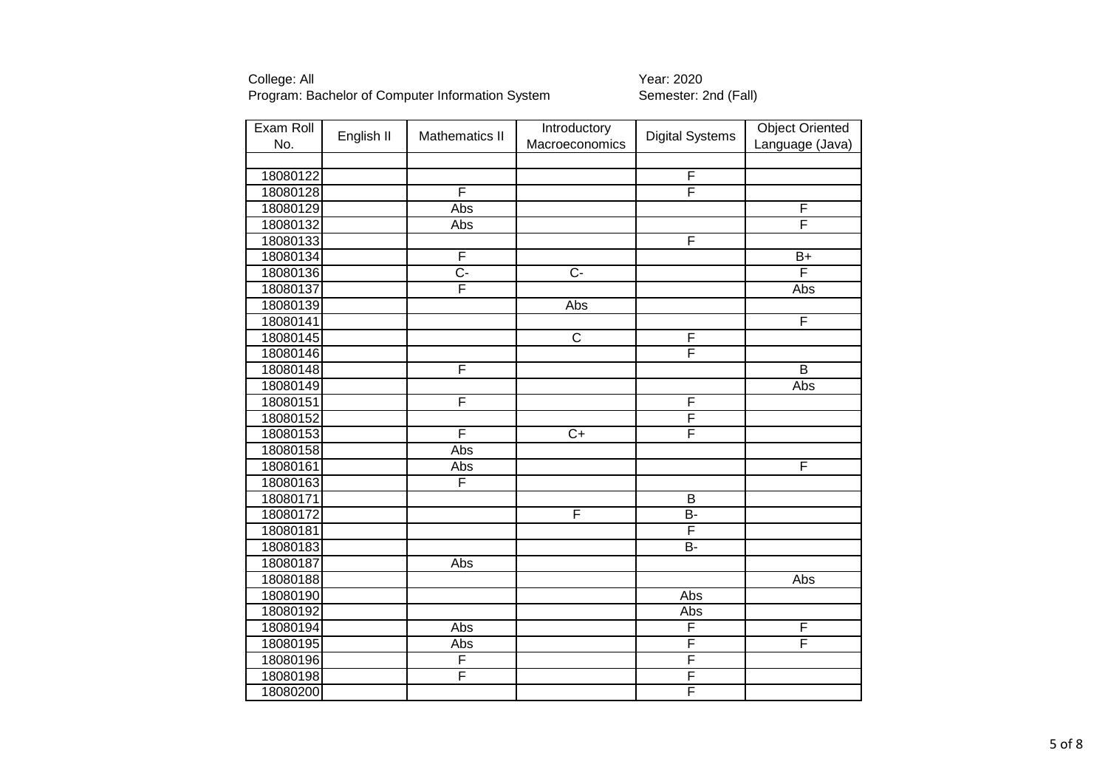| Exam Roll | English II | <b>Mathematics II</b> | Introductory          | <b>Digital Systems</b>  | <b>Object Oriented</b>  |
|-----------|------------|-----------------------|-----------------------|-------------------------|-------------------------|
| No.       |            |                       | Macroeconomics        |                         | Language (Java)         |
|           |            |                       |                       |                         |                         |
| 18080122  |            |                       |                       | $\overline{F}$          |                         |
| 18080128  |            | F                     |                       | F                       |                         |
| 18080129  |            | Abs                   |                       |                         | F                       |
| 18080132  |            | Abs                   |                       |                         | $\overline{\mathsf{F}}$ |
| 18080133  |            |                       |                       | F                       |                         |
| 18080134  |            | F                     |                       |                         | $B+$                    |
| 18080136  |            | $\overline{C}$        | $\overline{C}$        |                         | F                       |
| 18080137  |            | F                     |                       |                         | Abs                     |
| 18080139  |            |                       | Abs                   |                         |                         |
| 18080141  |            |                       |                       |                         | F                       |
| 18080145  |            |                       | $\overline{\text{c}}$ | F                       |                         |
| 18080146  |            |                       |                       | F                       |                         |
| 18080148  |            | F                     |                       |                         | B                       |
| 18080149  |            |                       |                       |                         | Abs                     |
| 18080151  |            | F                     |                       | $\overline{F}$          |                         |
| 18080152  |            |                       |                       | F                       |                         |
| 18080153  |            | F                     | $\overline{C+}$       | F                       |                         |
| 18080158  |            | Abs                   |                       |                         |                         |
| 18080161  |            | Abs                   |                       |                         | F                       |
| 18080163  |            | F                     |                       |                         |                         |
| 18080171  |            |                       |                       | $\overline{B}$          |                         |
| 18080172  |            |                       | F                     | $\overline{B}$          |                         |
| 18080181  |            |                       |                       | F                       |                         |
| 18080183  |            |                       |                       | $\overline{B}$          |                         |
| 18080187  |            | Abs                   |                       |                         |                         |
| 18080188  |            |                       |                       |                         | Abs                     |
| 18080190  |            |                       |                       | Abs                     |                         |
| 18080192  |            |                       |                       | Abs                     |                         |
| 18080194  |            | Abs                   |                       | F                       | F                       |
| 18080195  |            | Abs                   |                       | F                       | $\overline{\mathsf{F}}$ |
| 18080196  |            | F                     |                       | F                       |                         |
| 18080198  |            | F                     |                       | F                       |                         |
| 18080200  |            |                       |                       | $\overline{\mathsf{F}}$ |                         |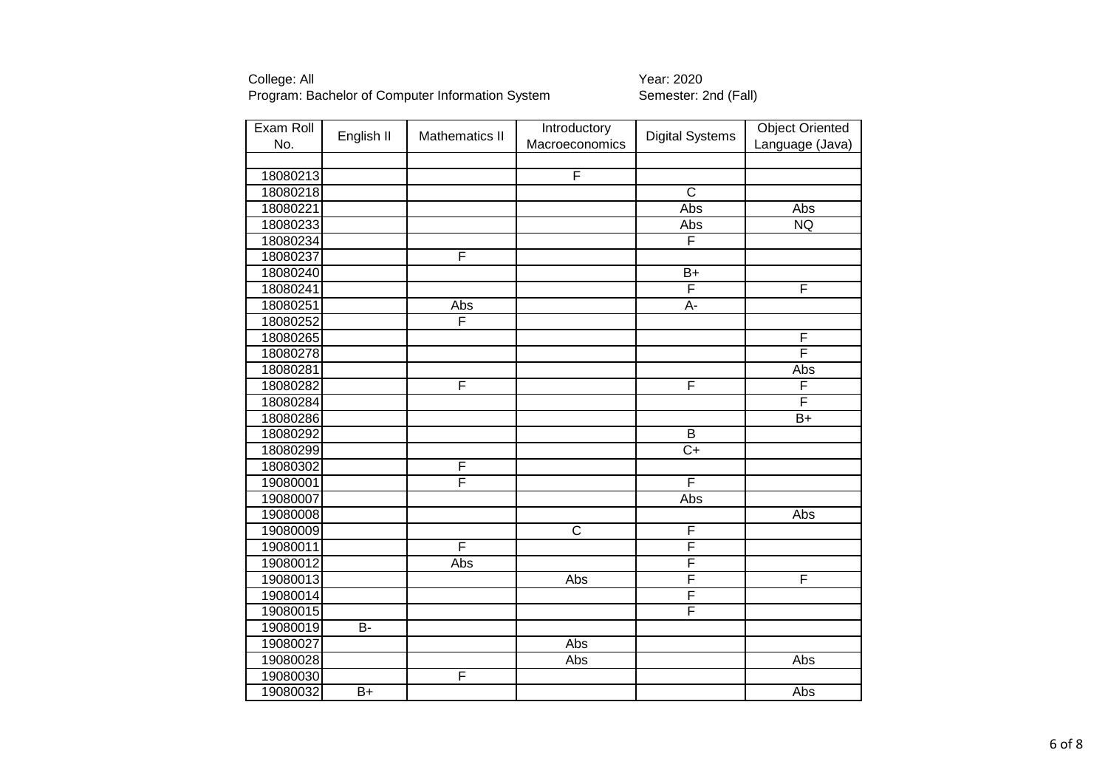| Exam Roll | English II     | <b>Mathematics II</b> | Introductory          | <b>Digital Systems</b>  | <b>Object Oriented</b> |
|-----------|----------------|-----------------------|-----------------------|-------------------------|------------------------|
| No.       |                |                       | Macroeconomics        |                         | Language (Java)        |
|           |                |                       |                       |                         |                        |
| 18080213  |                |                       | F                     |                         |                        |
| 18080218  |                |                       |                       | $\overline{C}$          |                        |
| 18080221  |                |                       |                       | Abs                     | Abs                    |
| 18080233  |                |                       |                       | Abs                     | <b>NQ</b>              |
| 18080234  |                |                       |                       | $\overline{F}$          |                        |
| 18080237  |                | F                     |                       |                         |                        |
| 18080240  |                |                       |                       | $\overline{B+}$         |                        |
| 18080241  |                |                       |                       | F                       | F                      |
| 18080251  |                | Abs                   |                       | A-                      |                        |
| 18080252  |                | F                     |                       |                         |                        |
| 18080265  |                |                       |                       |                         | F                      |
| 18080278  |                |                       |                       |                         | F                      |
| 18080281  |                |                       |                       |                         | Abs                    |
| 18080282  |                | F                     |                       | F                       | F                      |
| 18080284  |                |                       |                       |                         | F                      |
| 18080286  |                |                       |                       |                         | $B+$                   |
| 18080292  |                |                       |                       | $\overline{B}$          |                        |
| 18080299  |                |                       |                       | $C+$                    |                        |
| 18080302  |                | F                     |                       |                         |                        |
| 19080001  |                | F                     |                       | F                       |                        |
| 19080007  |                |                       |                       | Abs                     |                        |
| 19080008  |                |                       |                       |                         | Abs                    |
| 19080009  |                |                       | $\overline{\text{c}}$ | F                       |                        |
| 19080011  |                | F                     |                       | F                       |                        |
| 19080012  |                | Abs                   |                       | F                       |                        |
| 19080013  |                |                       | Abs                   | F                       | F                      |
| 19080014  |                |                       |                       | F                       |                        |
| 19080015  |                |                       |                       | $\overline{\mathsf{F}}$ |                        |
| 19080019  | $\overline{B}$ |                       |                       |                         |                        |
| 19080027  |                |                       | Abs                   |                         |                        |
| 19080028  |                |                       | Abs                   |                         | Abs                    |
| 19080030  |                | F                     |                       |                         |                        |
| 19080032  | $B+$           |                       |                       |                         | Abs                    |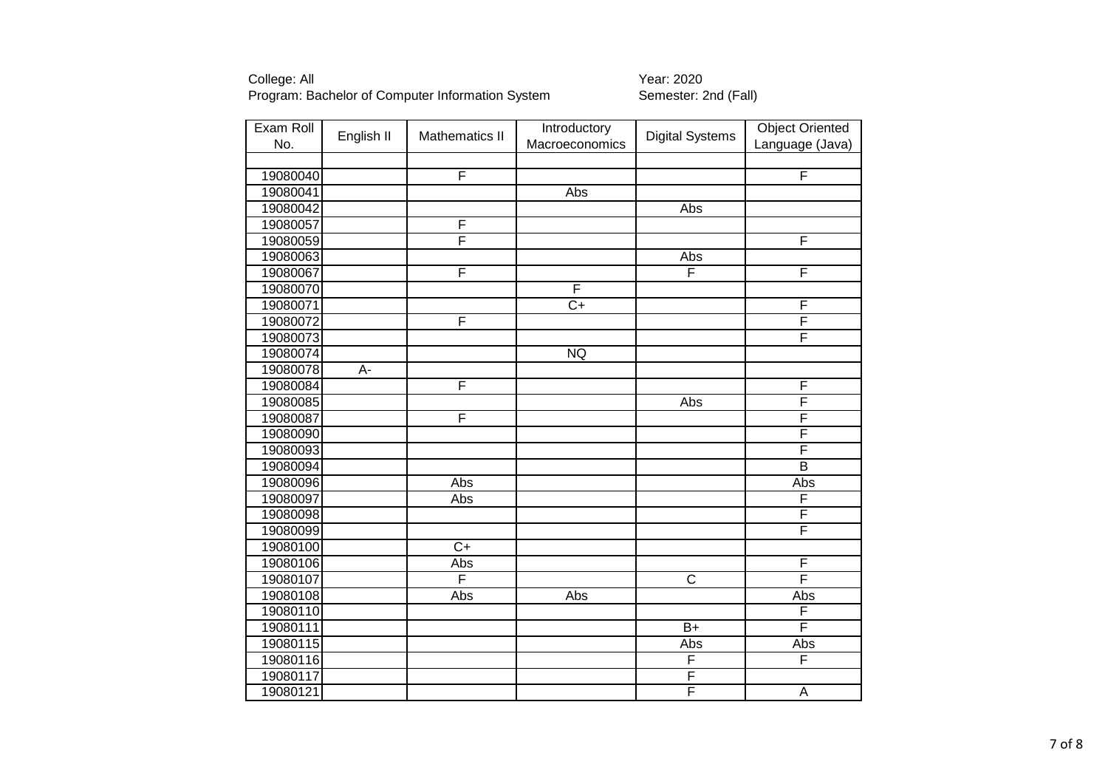| Exam Roll            | English II | <b>Mathematics II</b> | Introductory    | <b>Digital Systems</b>  | <b>Object Oriented</b> |
|----------------------|------------|-----------------------|-----------------|-------------------------|------------------------|
| No.                  |            |                       | Macroeconomics  |                         | Language (Java)        |
|                      |            | F                     |                 |                         | F                      |
| 19080040<br>19080041 |            |                       | Abs             |                         |                        |
| 19080042             |            |                       |                 | Abs                     |                        |
|                      |            | F                     |                 |                         |                        |
| 19080057             |            | F                     |                 |                         | F                      |
| 19080059             |            |                       |                 | Abs                     |                        |
| 19080063             |            | F                     |                 | F                       |                        |
| 19080067             |            |                       | F               |                         | F                      |
| 19080070             |            |                       |                 |                         |                        |
| 19080071             |            |                       | $\overline{C+}$ |                         | F                      |
| 19080072             |            | F                     |                 |                         | F                      |
| 19080073             |            |                       |                 |                         | F                      |
| 19080074             |            |                       | <b>NQ</b>       |                         |                        |
| 19080078             | A-         |                       |                 |                         |                        |
| 19080084             |            | F                     |                 |                         | F                      |
| 19080085             |            |                       |                 | Abs                     | F                      |
| 19080087             |            | F                     |                 |                         | F                      |
| 19080090             |            |                       |                 |                         | F                      |
| 19080093             |            |                       |                 |                         | F                      |
| 19080094             |            |                       |                 |                         | $\overline{B}$         |
| 19080096             |            | Abs                   |                 |                         | Abs                    |
| 19080097             |            | Abs                   |                 |                         | F                      |
| 19080098             |            |                       |                 |                         | F                      |
| 19080099             |            |                       |                 |                         | F                      |
| 19080100             |            | $\overline{C+}$       |                 |                         |                        |
| 19080106             |            | Abs                   |                 |                         | F                      |
| 19080107             |            | F                     |                 | $\overline{\mathsf{C}}$ | F                      |
| 19080108             |            | Abs                   | Abs             |                         | Abs                    |
| 19080110             |            |                       |                 |                         | F                      |
| 19080111             |            |                       |                 | $\overline{B+}$         | F                      |
| 19080115             |            |                       |                 | Abs                     | Abs                    |
| 19080116             |            |                       |                 | $\overline{F}$          | F                      |
| 19080117             |            |                       |                 | F                       |                        |
| 19080121             |            |                       |                 | F                       | A                      |